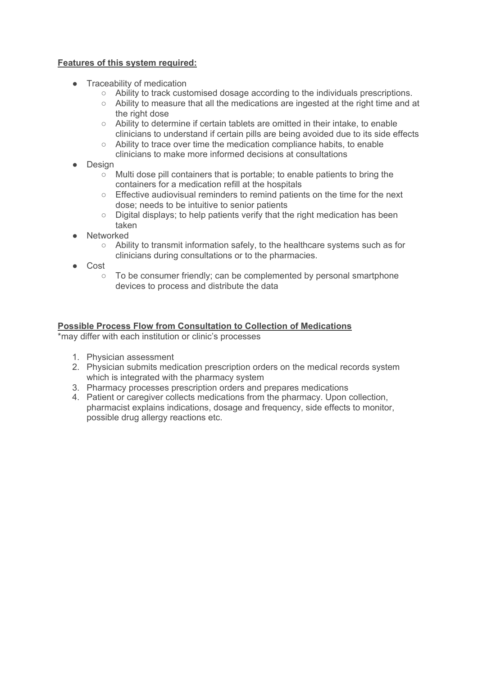## **Features of this system required:**

- Traceability of medication
	- Ability to track customised dosage according to the individuals prescriptions.
	- $\circ$  Ability to measure that all the medications are ingested at the right time and at the right dose
	- Ability to determine if certain tablets are omitted in their intake, to enable clinicians to understand if certain pills are being avoided due to its side effects
	- Ability to trace over time the medication compliance habits, to enable clinicians to make more informed decisions at consultations
- Design
	- Multi dose pill containers that is portable; to enable patients to bring the containers for a medication refill at the hospitals
	- Effective audiovisual reminders to remind patients on the time for the next dose; needs to be intuitive to senior patients
	- Digital displays; to help patients verify that the right medication has been taken
- **Networked** 
	- Ability to transmit information safely, to the healthcare systems such as for clinicians during consultations or to the pharmacies.
- Cost
	- To be consumer friendly; can be complemented by personal smartphone devices to process and distribute the data

## **Possible Process Flow from Consultation to Collection of Medications**

\*may differ with each institution or clinic's processes

- 1. Physician assessment
- 2. Physician submits medication prescription orders on the medical records system which is integrated with the pharmacy system
- 3. Pharmacy processes prescription orders and prepares medications
- 4. Patient or caregiver collects medications from the pharmacy. Upon collection, pharmacist explains indications, dosage and frequency, side effects to monitor, possible drug allergy reactions etc.